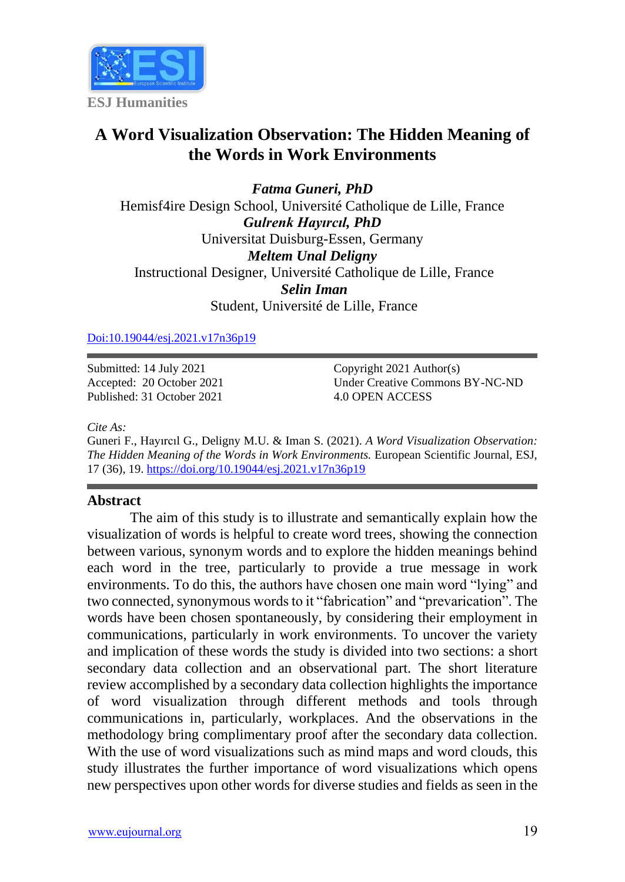

# **A Word Visualization Observation: The Hidden Meaning of the Words in Work Environments**

*Fatma Guneri, PhD* Hemisf4ire Design School, Université Catholique de Lille, France *Gulrenk Hayırcıl, PhD* Universitat Duisburg-Essen, Germany *Meltem Unal Deligny* Instructional Designer, Université Catholique de Lille, France *Selin Iman* Student, Université de Lille, France

[Doi:10.19044/esj.2021.v17n36p19](https://doi.org/10.19044/esj.2021.v17n36p19)

Submitted: 14 July 2021 Accepted: 20 October 2021 Published: 31 October 2021 Copyright 2021 Author(s) Under Creative Commons BY-NC-ND 4.0 OPEN ACCESS

*Cite As:*

Guneri F., Hayırcıl G., Deligny M.U. & Iman S. (2021). *A Word Visualization Observation: The Hidden Meaning of the Words in Work Environments.* European Scientific Journal, ESJ, 17 (36), 19. <https://doi.org/10.19044/esj.2021.v17n36p19>

#### **Abstract**

The aim of this study is to illustrate and semantically explain how the visualization of words is helpful to create word trees, showing the connection between various, synonym words and to explore the hidden meanings behind each word in the tree, particularly to provide a true message in work environments. To do this, the authors have chosen one main word "lying" and two connected, synonymous words to it "fabrication" and "prevarication". The words have been chosen spontaneously, by considering their employment in communications, particularly in work environments. To uncover the variety and implication of these words the study is divided into two sections: a short secondary data collection and an observational part. The short literature review accomplished by a secondary data collection highlights the importance of word visualization through different methods and tools through communications in, particularly, workplaces. And the observations in the methodology bring complimentary proof after the secondary data collection. With the use of word visualizations such as mind maps and word clouds, this study illustrates the further importance of word visualizations which opens new perspectives upon other words for diverse studies and fields as seen in the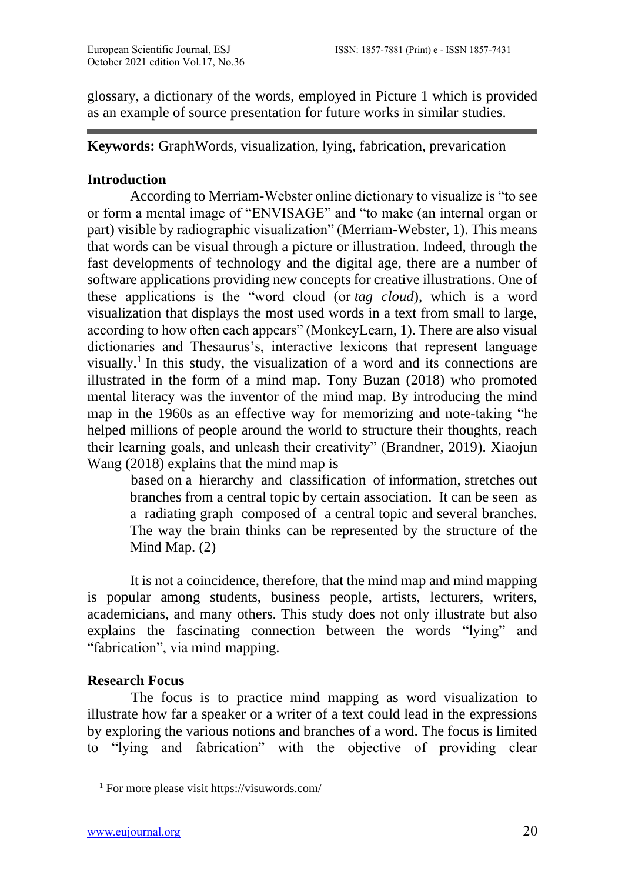glossary, a dictionary of the words, employed in Picture 1 which is provided as an example of source presentation for future works in similar studies.

**Keywords:** GraphWords, visualization, lying, fabrication, prevarication

#### **Introduction**

According to Merriam-Webster online dictionary to visualize is "to see or form a mental image of "ENVISAGE" and "to make (an internal organ or part) visible by radiographic visualization" (Merriam-Webster, 1). This means that words can be visual through a picture or illustration. Indeed, through the fast developments of technology and the digital age, there are a number of software applications providing new concepts for creative illustrations. One of these applications is the "word cloud (or *tag cloud*), which is a word visualization that displays the most used words in a text from small to large, according to how often each appears" (MonkeyLearn, 1). There are also visual dictionaries and Thesaurus's, interactive lexicons that represent language visually.<sup>1</sup> In this study, the visualization of a word and its connections are illustrated in the form of a mind map. Tony Buzan (2018) who promoted mental literacy was the inventor of the mind map. By introducing the mind map in the 1960s as an effective way for memorizing and note-taking "he helped millions of people around the world to structure their thoughts, reach their learning goals, and unleash their creativity" (Brandner, 2019). Xiaojun Wang (2018) explains that the mind map is

based on a hierarchy and classification of information, stretches out branches from a central topic by certain association. It can be seen as a radiating graph composed of a central topic and several branches. The way the brain thinks can be represented by the structure of the Mind Map. (2)

It is not a coincidence, therefore, that the mind map and mind mapping is popular among students, business people, artists, lecturers, writers, academicians, and many others. This study does not only illustrate but also explains the fascinating connection between the words "lying" and "fabrication", via mind mapping.

#### **Research Focus**

The focus is to practice mind mapping as word visualization to illustrate how far a speaker or a writer of a text could lead in the expressions by exploring the various notions and branches of a word. The focus is limited to "lying and fabrication" with the objective of providing clear

<sup>1</sup> For more please visit https://visuwords.com/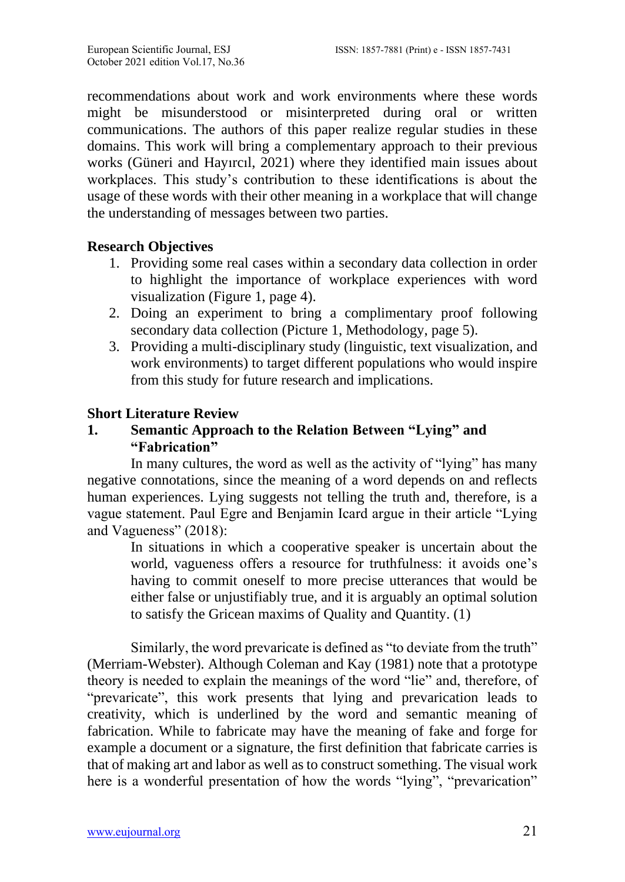recommendations about work and work environments where these words might be misunderstood or misinterpreted during oral or written communications. The authors of this paper realize regular studies in these domains. This work will bring a complementary approach to their previous works (Güneri and Hayırcıl, 2021) where they identified main issues about workplaces. This study's contribution to these identifications is about the usage of these words with their other meaning in a workplace that will change the understanding of messages between two parties.

## **Research Objectives**

- 1. Providing some real cases within a secondary data collection in order to highlight the importance of workplace experiences with word visualization (Figure 1, page 4).
- 2. Doing an experiment to bring a complimentary proof following secondary data collection (Picture 1, Methodology, page 5).
- 3. Providing a multi-disciplinary study (linguistic, text visualization, and work environments) to target different populations who would inspire from this study for future research and implications.

## **Short Literature Review**

# **1. Semantic Approach to the Relation Between "Lying" and "Fabrication"**

In many cultures, the word as well as the activity of "lying" has many negative connotations, since the meaning of a word depends on and reflects human experiences. Lying suggests not telling the truth and, therefore, is a vague statement. Paul Egre and Benjamin Icard argue in their article "Lying and Vagueness" (2018):

In situations in which a cooperative speaker is uncertain about the world, vagueness offers a resource for truthfulness: it avoids one's having to commit oneself to more precise utterances that would be either false or unjustifiably true, and it is arguably an optimal solution to satisfy the Gricean maxims of Quality and Quantity. (1)

Similarly, the word prevaricate is defined as "to deviate from the truth" (Merriam-Webster). Although Coleman and Kay (1981) note that a prototype theory is needed to explain the meanings of the word "lie" and, therefore, of "prevaricate", this work presents that lying and prevarication leads to creativity, which is underlined by the word and semantic meaning of fabrication. While to fabricate may have the meaning of fake and forge for example a document or a signature, the first definition that fabricate carries is that of making art and labor as well as to construct something. The visual work here is a wonderful presentation of how the words "lying", "prevarication"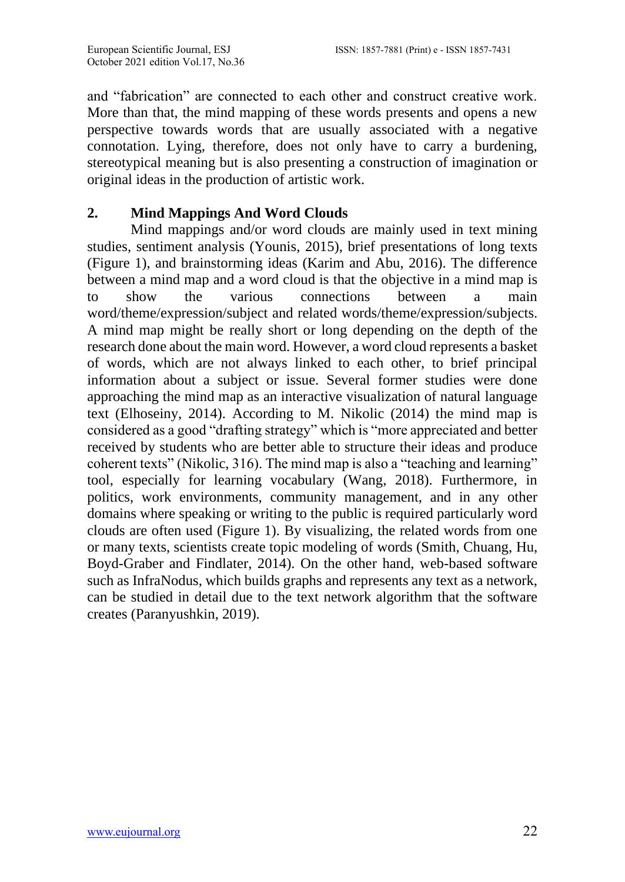and "fabrication" are connected to each other and construct creative work. More than that, the mind mapping of these words presents and opens a new perspective towards words that are usually associated with a negative connotation. Lying, therefore, does not only have to carry a burdening, stereotypical meaning but is also presenting a construction of imagination or original ideas in the production of artistic work.

## **2. Mind Mappings And Word Clouds**

Mind mappings and/or word clouds are mainly used in text mining studies, sentiment analysis (Younis, 2015), brief presentations of long texts (Figure 1), and brainstorming ideas (Karim and Abu, 2016). The difference between a mind map and a word cloud is that the objective in a mind map is to show the various connections between a main word/theme/expression/subject and related words/theme/expression/subjects. A mind map might be really short or long depending on the depth of the research done about the main word. However, a word cloud represents a basket of words, which are not always linked to each other, to brief principal information about a subject or issue. Several former studies were done approaching the mind map as an interactive visualization of natural language text (Elhoseiny, 2014). According to M. Nikolic (2014) the mind map is considered as a good "drafting strategy" which is "more appreciated and better received by students who are better able to structure their ideas and produce coherent texts" (Nikolic, 316). The mind map is also a "teaching and learning" tool, especially for learning vocabulary (Wang, 2018). Furthermore, in politics, work environments, community management, and in any other domains where speaking or writing to the public is required particularly word clouds are often used (Figure 1). By visualizing, the related words from one or many texts, scientists create topic modeling of words (Smith, Chuang, Hu, Boyd-Graber and Findlater, 2014). On the other hand, web-based software such as InfraNodus, which builds graphs and represents any text as a network, can be studied in detail due to the text network algorithm that the software creates (Paranyushkin, 2019).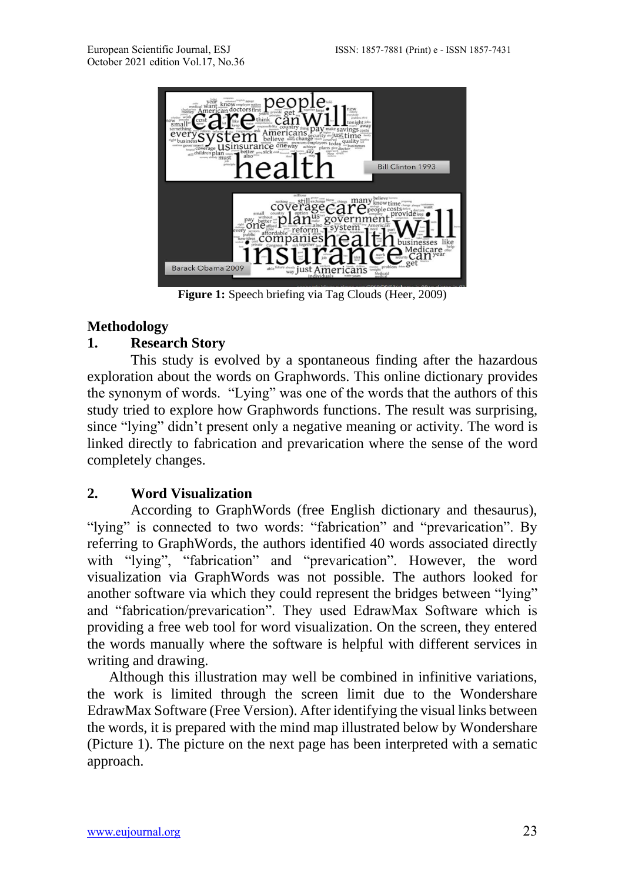

**Figure 1:** Speech briefing via Tag Clouds (Heer, 2009)

#### **Methodology**

#### **1. Research Story**

This study is evolved by a spontaneous finding after the hazardous exploration about the words on Graphwords. This online dictionary provides the synonym of words. "Lying" was one of the words that the authors of this study tried to explore how Graphwords functions. The result was surprising, since "lying" didn't present only a negative meaning or activity. The word is linked directly to fabrication and prevarication where the sense of the word completely changes.

#### **2. Word Visualization**

According to GraphWords (free English dictionary and thesaurus), "lying" is connected to two words: "fabrication" and "prevarication". By referring to GraphWords, the authors identified 40 words associated directly with "lying", "fabrication" and "prevarication". However, the word visualization via GraphWords was not possible. The authors looked for another software via which they could represent the bridges between "lying" and "fabrication/prevarication". They used EdrawMax Software which is providing a free web tool for word visualization. On the screen, they entered the words manually where the software is helpful with different services in writing and drawing.

Although this illustration may well be combined in infinitive variations, the work is limited through the screen limit due to the Wondershare EdrawMax Software (Free Version). After identifying the visual links between the words, it is prepared with the mind map illustrated below by Wondershare (Picture 1). The picture on the next page has been interpreted with a sematic approach.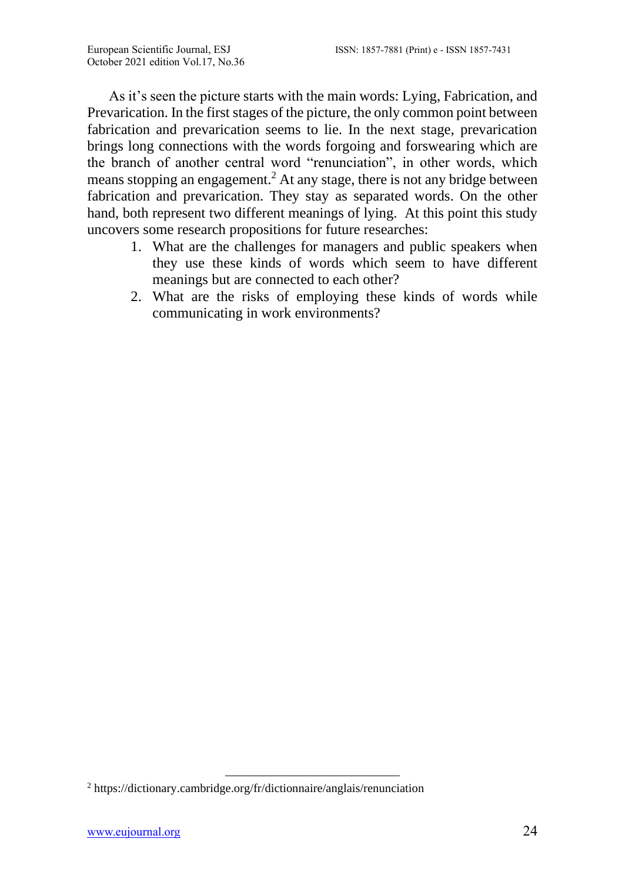As it's seen the picture starts with the main words: Lying, Fabrication, and Prevarication. In the first stages of the picture, the only common point between fabrication and prevarication seems to lie. In the next stage, prevarication brings long connections with the words forgoing and forswearing which are the branch of another central word "renunciation", in other words, which means stopping an engagement. <sup>2</sup> At any stage, there is not any bridge between fabrication and prevarication. They stay as separated words. On the other hand, both represent two different meanings of lying. At this point this study uncovers some research propositions for future researches:

- 1. What are the challenges for managers and public speakers when they use these kinds of words which seem to have different meanings but are connected to each other?
- 2. What are the risks of employing these kinds of words while communicating in work environments?

<sup>2</sup> https://dictionary.cambridge.org/fr/dictionnaire/anglais/renunciation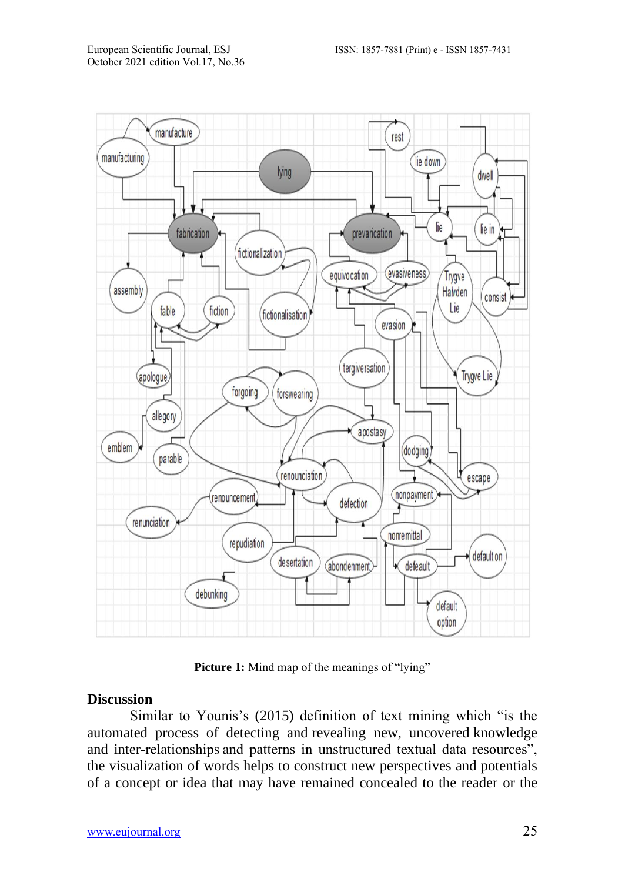

Picture 1: Mind map of the meanings of "lying"

#### **Discussion**

Similar to Younis's (2015) definition of text mining which "is the automated process of detecting and revealing new, uncovered knowledge and inter-relationships and patterns in unstructured textual data resources", the visualization of words helps to construct new perspectives and potentials of a concept or idea that may have remained concealed to the reader or the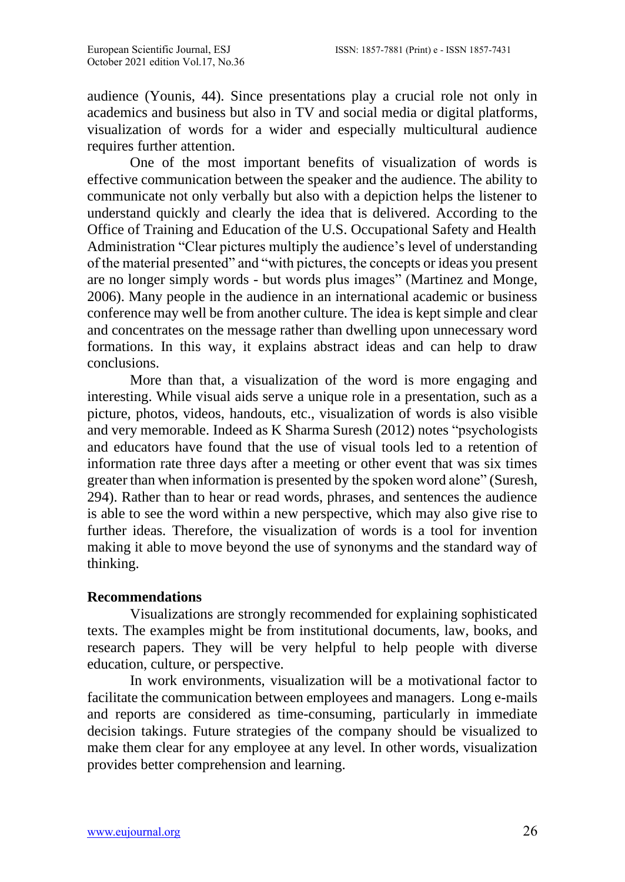audience (Younis, 44). Since presentations play a crucial role not only in academics and business but also in TV and social media or digital platforms, visualization of words for a wider and especially multicultural audience requires further attention.

One of the most important benefits of visualization of words is effective communication between the speaker and the audience. The ability to communicate not only verbally but also with a depiction helps the listener to understand quickly and clearly the idea that is delivered. According to the Office of Training and Education of the U.S. Occupational Safety and Health Administration "Clear pictures multiply the audience's level of understanding of the material presented" and "with pictures, the concepts or ideas you present are no longer simply words - but words plus images" (Martinez and Monge, 2006). Many people in the audience in an international academic or business conference may well be from another culture. The idea is kept simple and clear and concentrates on the message rather than dwelling upon unnecessary word formations. In this way, it explains abstract ideas and can help to draw conclusions.

More than that, a visualization of the word is more engaging and interesting. While visual aids serve a unique role in a presentation, such as a picture, photos, videos, handouts, etc., visualization of words is also visible and very memorable. Indeed as K Sharma Suresh (2012) notes "psychologists and educators have found that the use of visual tools led to a retention of information rate three days after a meeting or other event that was six times greater than when information is presented by the spoken word alone" (Suresh, 294). Rather than to hear or read words, phrases, and sentences the audience is able to see the word within a new perspective, which may also give rise to further ideas. Therefore, the visualization of words is a tool for invention making it able to move beyond the use of synonyms and the standard way of thinking.

#### **Recommendations**

Visualizations are strongly recommended for explaining sophisticated texts. The examples might be from institutional documents, law, books, and research papers. They will be very helpful to help people with diverse education, culture, or perspective.

In work environments, visualization will be a motivational factor to facilitate the communication between employees and managers. Long e-mails and reports are considered as time-consuming, particularly in immediate decision takings. Future strategies of the company should be visualized to make them clear for any employee at any level. In other words, visualization provides better comprehension and learning.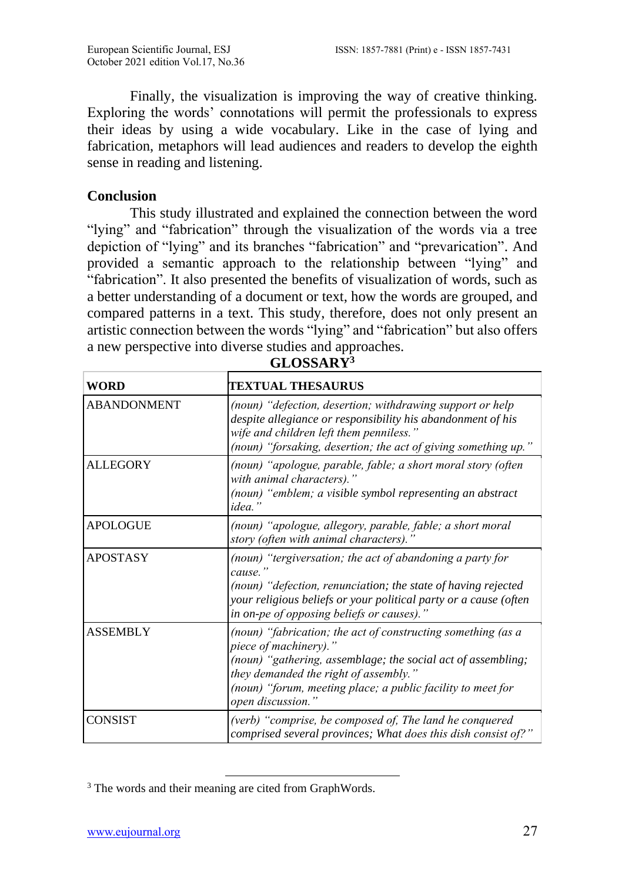Finally, the visualization is improving the way of creative thinking. Exploring the words' connotations will permit the professionals to express their ideas by using a wide vocabulary. Like in the case of lying and fabrication, metaphors will lead audiences and readers to develop the eighth sense in reading and listening.

#### **Conclusion**

This study illustrated and explained the connection between the word "lying" and "fabrication" through the visualization of the words via a tree depiction of "lying" and its branches "fabrication" and "prevarication". And provided a semantic approach to the relationship between "lying" and "fabrication". It also presented the benefits of visualization of words, such as a better understanding of a document or text, how the words are grouped, and compared patterns in a text. This study, therefore, does not only present an artistic connection between the words "lying" and "fabrication" but also offers a new perspective into diverse studies and approaches.

| <b>WORD</b>        | <b>TEXTUAL THESAURUS</b>                                                                                                                                                                                                                                                           |
|--------------------|------------------------------------------------------------------------------------------------------------------------------------------------------------------------------------------------------------------------------------------------------------------------------------|
| <b>ABANDONMENT</b> | (noun) "defection, desertion; withdrawing support or help<br>despite allegiance or responsibility his abandonment of his<br>wife and children left them penniless."<br>(noun) "forsaking, desertion; the act of giving something up."                                              |
| <b>ALLEGORY</b>    | (noun) "apologue, parable, fable; a short moral story (often<br>with animal characters)."<br>(noun) "emblem; a visible symbol representing an abstract<br>idea."                                                                                                                   |
| <b>APOLOGUE</b>    | (noun) "apologue, allegory, parable, fable; a short moral<br>story (often with animal characters)."                                                                                                                                                                                |
| <b>APOSTASY</b>    | (noun) "tergiversation; the act of abandoning a party for<br>cause.''<br>(noun) "defection, renunciation; the state of having rejected<br>your religious beliefs or your political party or a cause (often<br>in on-pe of opposing beliefs or causes)."                            |
| <b>ASSEMBLY</b>    | (noun) "fabrication; the act of constructing something (as a<br>piece of machinery)."<br>(noun) "gathering, assemblage; the social act of assembling;<br>they demanded the right of assembly."<br>(noun) "forum, meeting place; a public facility to meet for<br>open discussion." |
| <b>CONSIST</b>     | (verb) "comprise, be composed of, The land he conquered<br>comprised several provinces; What does this dish consist of?"                                                                                                                                                           |

**GLOSSARY<sup>3</sup>**

<sup>&</sup>lt;sup>3</sup> The words and their meaning are cited from GraphWords.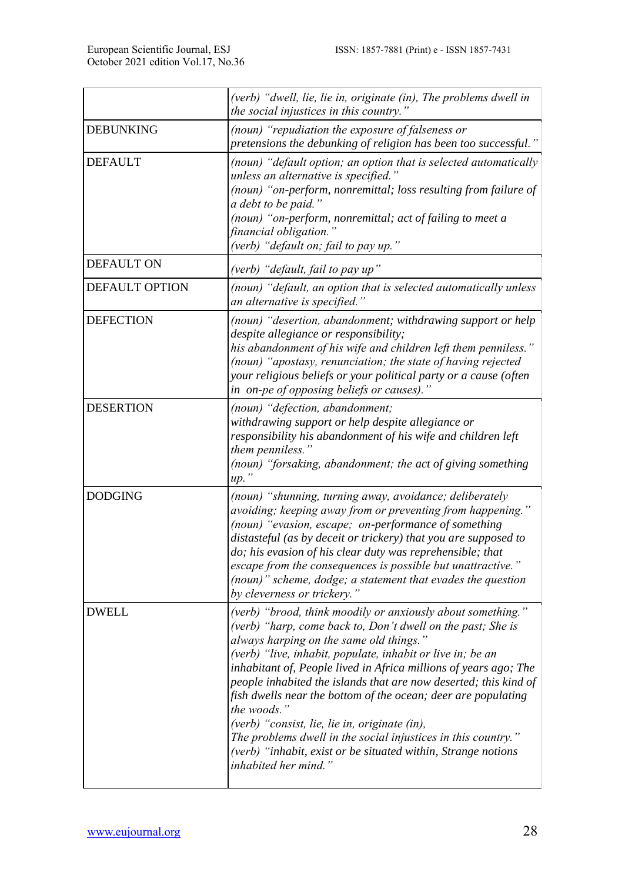|                       | (verb) "dwell, lie, lie in, originate (in), The problems dwell in<br>the social injustices in this country."                                                                                                                                                                                                                                                                                                                                                                                                                                                                                                                                                           |
|-----------------------|------------------------------------------------------------------------------------------------------------------------------------------------------------------------------------------------------------------------------------------------------------------------------------------------------------------------------------------------------------------------------------------------------------------------------------------------------------------------------------------------------------------------------------------------------------------------------------------------------------------------------------------------------------------------|
| <b>DEBUNKING</b>      | (noun) "repudiation the exposure of falseness or<br>pretensions the debunking of religion has been too successful."                                                                                                                                                                                                                                                                                                                                                                                                                                                                                                                                                    |
| <b>DEFAULT</b>        | (noun) "default option; an option that is selected automatically<br>unless an alternative is specified."<br>(noun) "on-perform, nonremittal; loss resulting from failure of<br>a debt to be paid."<br>(noun) "on-perform, nonremittal; act of failing to meet a<br>financial obligation."<br>(verb) "default on; fail to pay up."                                                                                                                                                                                                                                                                                                                                      |
| <b>DEFAULT ON</b>     | (verb) "default, fail to pay up"                                                                                                                                                                                                                                                                                                                                                                                                                                                                                                                                                                                                                                       |
| <b>DEFAULT OPTION</b> | (noun) "default, an option that is selected automatically unless<br>an alternative is specified."                                                                                                                                                                                                                                                                                                                                                                                                                                                                                                                                                                      |
| <b>DEFECTION</b>      | (noun) "desertion, abandonment; withdrawing support or help<br>despite allegiance or responsibility;<br>his abandonment of his wife and children left them penniless."<br>(noun) "apostasy, renunciation; the state of having rejected<br>your religious beliefs or your political party or a cause (often<br>in on-pe of opposing beliefs or causes)."                                                                                                                                                                                                                                                                                                                |
| <b>DESERTION</b>      | (noun) "defection, abandonment;<br>withdrawing support or help despite allegiance or<br>responsibility his abandonment of his wife and children left<br>them penniless."<br>(noun) "forsaking, abandonment; the act of giving something<br>up.                                                                                                                                                                                                                                                                                                                                                                                                                         |
| <b>DODGING</b>        | (noun) "shunning, turning away, avoidance; deliberately<br>avoiding; keeping away from or preventing from happening."<br>(noun) "evasion, escape; on-performance of something<br>distasteful (as by deceit or trickery) that you are supposed to<br>do; his evasion of his clear duty was reprehensible; that<br>escape from the consequences is possible but unattractive."<br>(noun)" scheme, dodge; a statement that evades the question<br>by cleverness or trickery."                                                                                                                                                                                             |
| <b>DWELL</b>          | (verb) "brood, think moodily or anxiously about something."<br>(verb) "harp, come back to, Don't dwell on the past; She is<br>always harping on the same old things."<br>(verb) "live, inhabit, populate, inhabit or live in; be an<br>inhabitant of, People lived in Africa millions of years ago; The<br>people inhabited the islands that are now deserted; this kind of<br>fish dwells near the bottom of the ocean; deer are populating<br>the woods."<br>(verb) "consist, lie, lie in, originate (in),<br>The problems dwell in the social injustices in this country."<br>(verb) "inhabit, exist or be situated within, Strange notions<br>inhabited her mind." |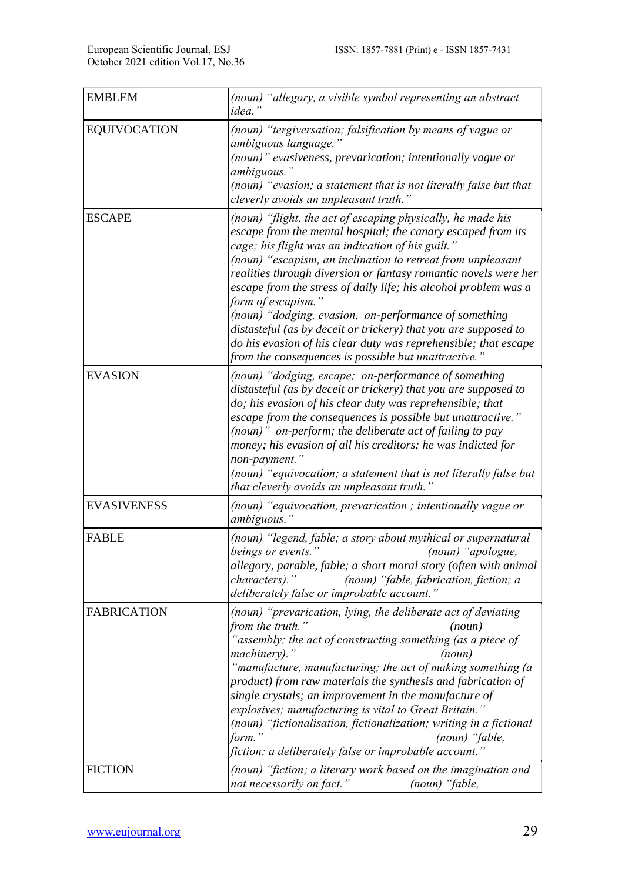| <b>EMBLEM</b>       | (noun) "allegory, a visible symbol representing an abstract<br>idea.'                                                                                                                                                                                                                                                                                                                                                                                                                                                                                                                                                                                              |
|---------------------|--------------------------------------------------------------------------------------------------------------------------------------------------------------------------------------------------------------------------------------------------------------------------------------------------------------------------------------------------------------------------------------------------------------------------------------------------------------------------------------------------------------------------------------------------------------------------------------------------------------------------------------------------------------------|
| <b>EQUIVOCATION</b> | (noun) "tergiversation; falsification by means of vague or<br>ambiguous language."<br>(noun)" evasiveness, prevarication; intentionally vague or<br>ambiguous."<br>(noun) "evasion; a statement that is not literally false but that<br>cleverly avoids an unpleasant truth."                                                                                                                                                                                                                                                                                                                                                                                      |
| <b>ESCAPE</b>       | (noun) "flight, the act of escaping physically, he made his<br>escape from the mental hospital; the canary escaped from its<br>cage; his flight was an indication of his guilt."<br>(noun) "escapism, an inclination to retreat from unpleasant<br>realities through diversion or fantasy romantic novels were her<br>escape from the stress of daily life; his alcohol problem was a<br>form of escapism."<br>(noun) "dodging, evasion, on-performance of something<br>distasteful (as by deceit or trickery) that you are supposed to<br>do his evasion of his clear duty was reprehensible; that escape<br>from the consequences is possible but unattractive." |
| <b>EVASION</b>      | (noun) "dodging, escape; on-performance of something<br>distasteful (as by deceit or trickery) that you are supposed to<br>do; his evasion of his clear duty was reprehensible; that<br>escape from the consequences is possible but unattractive."<br>(noun)" on-perform; the deliberate act of failing to pay<br>money; his evasion of all his creditors; he was indicted for<br>non-payment."<br>(noun) "equivocation; a statement that is not literally false but<br>that cleverly avoids an unpleasant truth."                                                                                                                                                |
| <b>EVASIVENESS</b>  | (noun) "equivocation, prevarication ; intentionally vague or<br>ambiguous."                                                                                                                                                                                                                                                                                                                                                                                                                                                                                                                                                                                        |
| <b>FABLE</b>        | (noun) "legend, fable; a story about mythical or supernatural<br>beings or events."<br>(noun) "apologue,<br>allegory, parable, fable; a short moral story (often with animal<br>characters)."<br>(noun) "fable, fabrication, fiction; a<br>deliberately false or improbable account."                                                                                                                                                                                                                                                                                                                                                                              |
| <b>FABRICATION</b>  | (noun) "prevarication, lying, the deliberate act of deviating<br>from the truth."<br>(noun)<br>"assembly; the act of constructing something (as a piece of<br>machinery)."<br>(noun)<br>"manufacture, manufacturing; the act of making something (a<br>product) from raw materials the synthesis and fabrication of<br>single crystals; an improvement in the manufacture of<br>explosives; manufacturing is vital to Great Britain."<br>(noun) "fictionalisation, fictionalization; writing in a fictional<br>form.'<br>(noun) "fable,<br>fiction; a deliberately false or improbable account."                                                                   |
| <b>FICTION</b>      | (noun) "fiction; a literary work based on the imagination and<br>not necessarily on fact."<br>(noun) "fable,                                                                                                                                                                                                                                                                                                                                                                                                                                                                                                                                                       |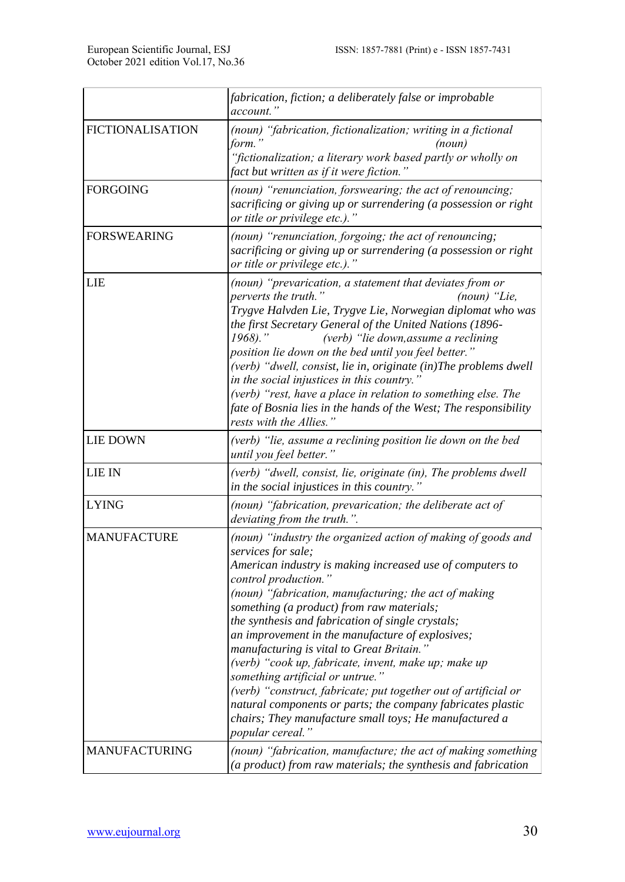|                         | fabrication, fiction; a deliberately false or improbable<br>account.'                                                                                                                                                                                                                                                                                                                                                                                                                                                                                                                                                                                                                                                                           |
|-------------------------|-------------------------------------------------------------------------------------------------------------------------------------------------------------------------------------------------------------------------------------------------------------------------------------------------------------------------------------------------------------------------------------------------------------------------------------------------------------------------------------------------------------------------------------------------------------------------------------------------------------------------------------------------------------------------------------------------------------------------------------------------|
| <b>FICTIONALISATION</b> | (noun) "fabrication, fictionalization; writing in a fictional<br>form."<br>(noun)<br>"fictionalization; a literary work based partly or wholly on<br>fact but written as if it were fiction."                                                                                                                                                                                                                                                                                                                                                                                                                                                                                                                                                   |
| <b>FORGOING</b>         | (noun) "renunciation, forswearing; the act of renouncing;<br>sacrificing or giving up or surrendering (a possession or right<br>or title or privilege etc.)."                                                                                                                                                                                                                                                                                                                                                                                                                                                                                                                                                                                   |
| <b>FORSWEARING</b>      | (noun) "renunciation, forgoing; the act of renouncing;<br>sacrificing or giving up or surrendering (a possession or right<br>or title or privilege etc.)."                                                                                                                                                                                                                                                                                                                                                                                                                                                                                                                                                                                      |
| <b>LIE</b>              | (noun) "prevarication, a statement that deviates from or<br>perverts the truth."<br>$(noun)$ "Lie,<br>Trygve Halvden Lie, Trygve Lie, Norwegian diplomat who was<br>the first Secretary General of the United Nations (1896-<br>1968)."<br>(verb) "lie down, assume a reclining<br>position lie down on the bed until you feel better."<br>(verb) "dwell, consist, lie in, originate (in)The problems dwell<br>in the social injustices in this country."<br>(verb) "rest, have a place in relation to something else. The<br>fate of Bosnia lies in the hands of the West; The responsibility<br>rests with the Allies."                                                                                                                       |
| <b>LIE DOWN</b>         | (verb) "lie, assume a reclining position lie down on the bed<br>until you feel better."                                                                                                                                                                                                                                                                                                                                                                                                                                                                                                                                                                                                                                                         |
| <b>LIE IN</b>           | (verb) "dwell, consist, lie, originate (in), The problems dwell<br>in the social injustices in this country."                                                                                                                                                                                                                                                                                                                                                                                                                                                                                                                                                                                                                                   |
| <b>LYING</b>            | (noun) "fabrication, prevarication; the deliberate act of<br>deviating from the truth.".                                                                                                                                                                                                                                                                                                                                                                                                                                                                                                                                                                                                                                                        |
| <b>MANUFACTURE</b>      | (noun) "industry the organized action of making of goods and<br>services for sale;<br>American industry is making increased use of computers to<br>control production."<br>(noun) "fabrication, manufacturing; the act of making<br>something (a product) from raw materials;<br>the synthesis and fabrication of single crystals;<br>an improvement in the manufacture of explosives;<br>manufacturing is vital to Great Britain."<br>(verb) "cook up, fabricate, invent, make up; make up<br>something artificial or untrue."<br>(verb) "construct, fabricate; put together out of artificial or<br>natural components or parts; the company fabricates plastic<br>chairs; They manufacture small toys; He manufactured a<br>popular cereal." |
| <b>MANUFACTURING</b>    | (noun) "fabrication, manufacture; the act of making something<br>(a product) from raw materials; the synthesis and fabrication                                                                                                                                                                                                                                                                                                                                                                                                                                                                                                                                                                                                                  |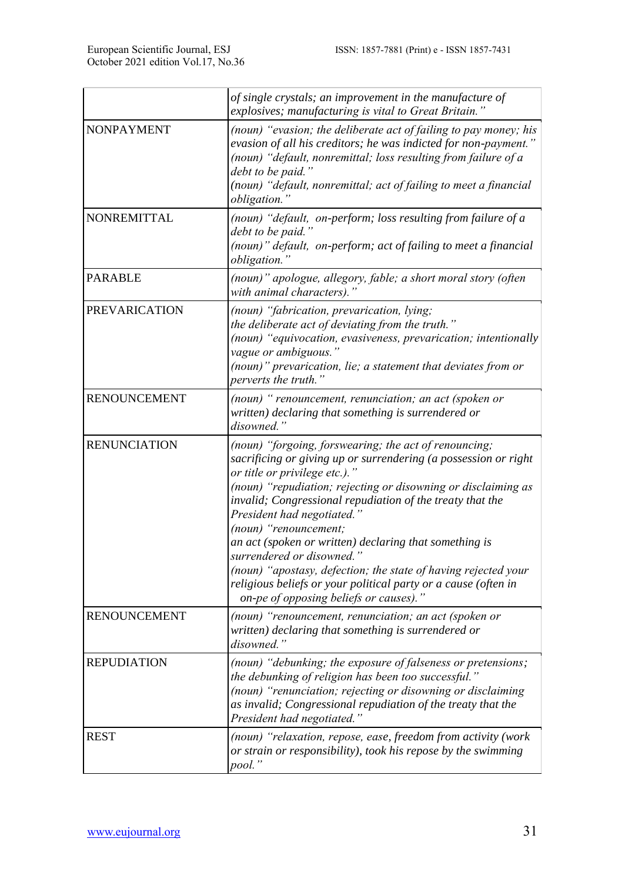|                      | of single crystals; an improvement in the manufacture of<br>explosives; manufacturing is vital to Great Britain."                                                                                                                                                                                                                              |
|----------------------|------------------------------------------------------------------------------------------------------------------------------------------------------------------------------------------------------------------------------------------------------------------------------------------------------------------------------------------------|
| NONPAYMENT           | (noun) "evasion; the deliberate act of failing to pay money; his<br>evasion of all his creditors; he was indicted for non-payment."<br>(noun) "default, nonremittal; loss resulting from failure of a<br>debt to be paid."<br>(noun) "default, nonremittal; act of failing to meet a financial<br>obligation."                                 |
| <b>NONREMITTAL</b>   | (noun) "default, on-perform; loss resulting from failure of a<br>debt to be paid."<br>(noun)" default, on-perform; act of failing to meet a financial<br>obligation."                                                                                                                                                                          |
| <b>PARABLE</b>       | (noun)" apologue, allegory, fable; a short moral story (often<br>with animal characters).'                                                                                                                                                                                                                                                     |
| <b>PREVARICATION</b> | (noun) "fabrication, prevarication, lying;<br>the deliberate act of deviating from the truth."<br>(noun) "equivocation, evasiveness, prevarication; intentionally<br>vague or ambiguous."<br>(noun)" prevarication, lie; a statement that deviates from or<br>perverts the truth.                                                              |
| <b>RENOUNCEMENT</b>  | (noun) "renouncement, renunciation; an act (spoken or<br>written) declaring that something is surrendered or<br>disowned.'                                                                                                                                                                                                                     |
| <b>RENUNCIATION</b>  | (noun) "forgoing, forswearing; the act of renouncing;<br>sacrificing or giving up or surrendering (a possession or right<br>or title or privilege etc.)."<br>(noun) "repudiation; rejecting or disowning or disclaiming as<br>invalid; Congressional repudiation of the treaty that the<br>President had negotiated.'<br>(noun) "renouncement; |
|                      | an act (spoken or written) declaring that something is<br>surrendered or disowned."<br>(noun) "apostasy, defection; the state of having rejected your<br>religious beliefs or your political party or a cause (often in<br>on-pe of opposing beliefs or causes)."                                                                              |
| <b>RENOUNCEMENT</b>  | (noun) "renouncement, renunciation; an act (spoken or<br>written) declaring that something is surrendered or<br>disowned."                                                                                                                                                                                                                     |
| <b>REPUDIATION</b>   | (noun) "debunking; the exposure of falseness or pretensions;<br>the debunking of religion has been too successful."<br>(noun) "renunciation; rejecting or disowning or disclaiming<br>as invalid; Congressional repudiation of the treaty that the<br>President had negotiated."                                                               |
| <b>REST</b>          | (noun) "relaxation, repose, ease, freedom from activity (work<br>or strain or responsibility), took his repose by the swimming<br>pool."                                                                                                                                                                                                       |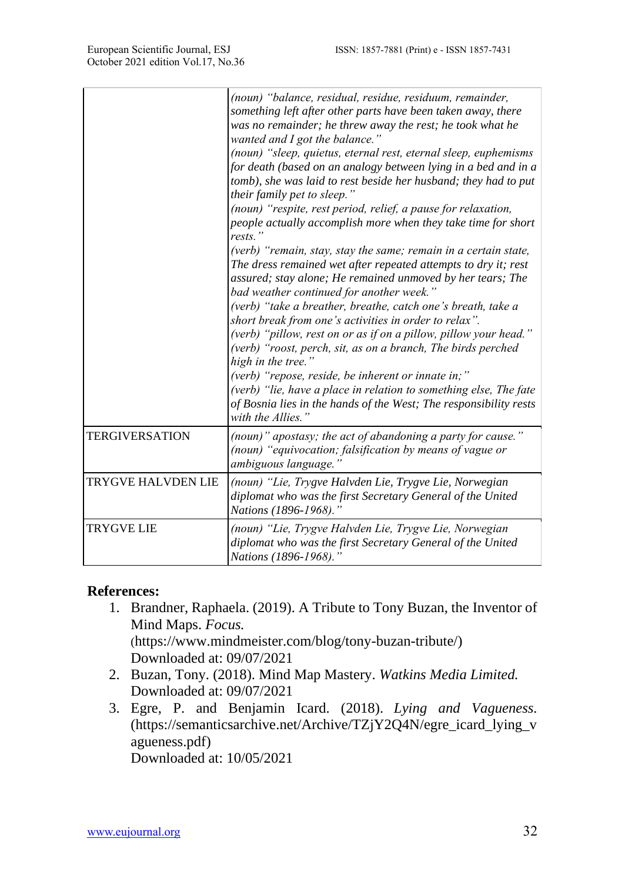|                           | (noun) "balance, residual, residue, residuum, remainder,<br>something left after other parts have been taken away, there<br>was no remainder; he threw away the rest; he took what he<br>wanted and I got the balance."<br>(noun) "sleep, quietus, eternal rest, eternal sleep, euphemisms<br>for death (based on an analogy between lying in a bed and in a<br>tomb), she was laid to rest beside her husband; they had to put<br>their family pet to sleep."<br>(noun) "respite, rest period, relief, a pause for relaxation,<br>people actually accomplish more when they take time for short<br>rests."<br>(verb) "remain, stay, stay the same; remain in a certain state,<br>The dress remained wet after repeated attempts to dry it; rest<br>assured; stay alone; He remained unmoved by her tears; The<br>bad weather continued for another week."<br>(verb) "take a breather, breathe, catch one's breath, take a<br>short break from one's activities in order to relax".<br>(verb) "pillow, rest on or as if on a pillow, pillow your head."<br>(verb) "roost, perch, sit, as on a branch, The birds perched<br>high in the tree."<br>(verb) "repose, reside, be inherent or innate in;"<br>(verb) "lie, have a place in relation to something else, The fate<br>of Bosnia lies in the hands of the West; The responsibility rests<br>with the Allies." |
|---------------------------|--------------------------------------------------------------------------------------------------------------------------------------------------------------------------------------------------------------------------------------------------------------------------------------------------------------------------------------------------------------------------------------------------------------------------------------------------------------------------------------------------------------------------------------------------------------------------------------------------------------------------------------------------------------------------------------------------------------------------------------------------------------------------------------------------------------------------------------------------------------------------------------------------------------------------------------------------------------------------------------------------------------------------------------------------------------------------------------------------------------------------------------------------------------------------------------------------------------------------------------------------------------------------------------------------------------------------------------------------------------------|
| <b>TERGIVERSATION</b>     | (noun)" apostasy; the act of abandoning a party for cause."<br>(noun) "equivocation; falsification by means of vague or<br>ambiguous language.'                                                                                                                                                                                                                                                                                                                                                                                                                                                                                                                                                                                                                                                                                                                                                                                                                                                                                                                                                                                                                                                                                                                                                                                                                    |
| <b>TRYGVE HALVDEN LIE</b> | (noun) "Lie, Trygve Halvden Lie, Trygve Lie, Norwegian<br>diplomat who was the first Secretary General of the United<br>Nations (1896-1968)."                                                                                                                                                                                                                                                                                                                                                                                                                                                                                                                                                                                                                                                                                                                                                                                                                                                                                                                                                                                                                                                                                                                                                                                                                      |
| <b>TRYGVE LIE</b>         | (noun) "Lie, Trygve Halvden Lie, Trygve Lie, Norwegian<br>diplomat who was the first Secretary General of the United<br>Nations (1896-1968)."                                                                                                                                                                                                                                                                                                                                                                                                                                                                                                                                                                                                                                                                                                                                                                                                                                                                                                                                                                                                                                                                                                                                                                                                                      |

#### **References:**

- 1. Brandner, Raphaela. (2019). A Tribute to Tony Buzan, the Inventor of Mind Maps. *Focus.* ([https://www.mindmeister.com/blog/tony-buzan-tribute/\)](https://www.mindmeister.com/blog/tony-buzan-tribute/) Downloaded at: 09/07/2021
- 2. Buzan, Tony. (2018). Mind Map Mastery. *Watkins Media Limited.* Downloaded at: 09/07/2021
- 3. Egre, P. and Benjamin Icard. (2018). *Lying and Vagueness.* [\(https://semanticsarchive.net/Archive/TZjY2Q4N/egre\\_icard\\_lying\\_v](https://semanticsarchive.net/Archive/TZjY2Q4N/egre_icard_lying_vagueness.pdf) [agueness.pdf\)](https://semanticsarchive.net/Archive/TZjY2Q4N/egre_icard_lying_vagueness.pdf) Downloaded at: 10/05/2021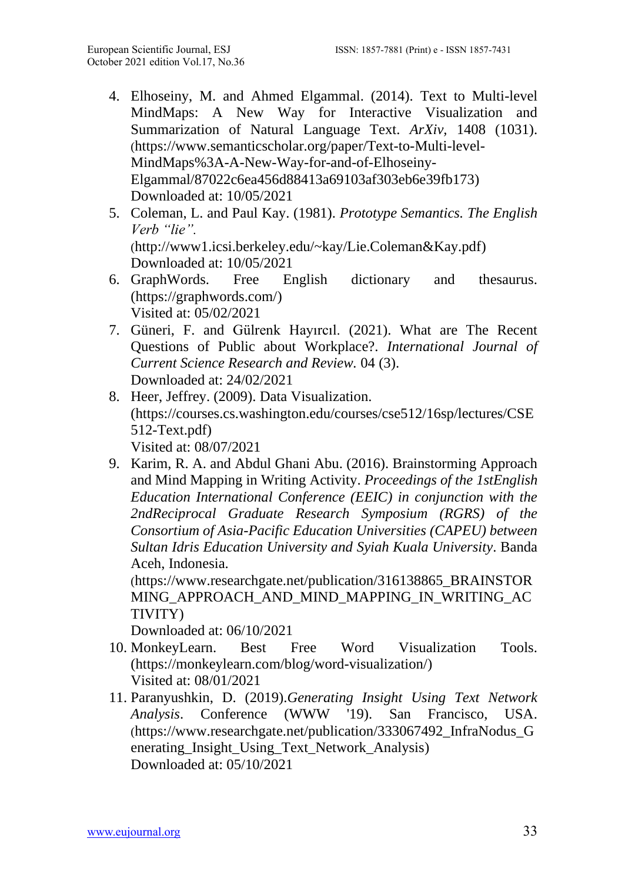- 4. Elhoseiny, M. and Ahmed Elgammal. (2014). Text to Multi-level MindMaps: A New Way for Interactive Visualization and Summarization of Natural Language Text. *ArXiv,* 1408 (1031). ([https://www.semanticscholar.org/paper/Text-to-Multi-level-](https://www.semanticscholar.org/paper/Text-to-Multi-level-MindMaps%3A-A-New-Way-for-and-of-Elhoseiny-Elgammal/87022c6ea456d88413a69103af303eb6e39fb173)[MindMaps%3A-A-New-Way-for-and-of-Elhoseiny-](https://www.semanticscholar.org/paper/Text-to-Multi-level-MindMaps%3A-A-New-Way-for-and-of-Elhoseiny-Elgammal/87022c6ea456d88413a69103af303eb6e39fb173)[Elgammal/87022c6ea456d88413a69103af303eb6e39fb173\)](https://www.semanticscholar.org/paper/Text-to-Multi-level-MindMaps%3A-A-New-Way-for-and-of-Elhoseiny-Elgammal/87022c6ea456d88413a69103af303eb6e39fb173) Downloaded at: 10/05/2021
- 5. Coleman, L. and Paul Kay. (1981). *Prototype Semantics. The English Verb "lie".* ([http://www1.icsi.berkeley.edu/~kay/Lie.Coleman&Kay.pdf\)](http://www1.icsi.berkeley.edu/~kay/Lie.Coleman&Kay.pdf) Downloaded at: 10/05/2021
- 6. GraphWords. Free English dictionary and thesaurus. [\(https://graphwords.com/\)](https://graphwords.com/) Visited at: 05/02/2021
- 7. Güneri, F. and Gülrenk Hayırcıl. (2021). What are The Recent Questions of Public about Workplace?. *International Journal of Current Science Research and Review.* 04 (3). Downloaded at: 24/02/2021
- 8. Heer, Jeffrey. (2009). Data Visualization. [\(https://courses.cs.washington.edu/courses/cse512/16sp/lectures/CSE](https://courses.cs.washington.edu/courses/cse512/16sp/lectures/CSE512-Text.pdf) [512-Text.pdf\)](https://courses.cs.washington.edu/courses/cse512/16sp/lectures/CSE512-Text.pdf) Visited at: 08/07/2021
- 9. Karim, R. A. and Abdul Ghani Abu. (2016). Brainstorming Approach and Mind Mapping in Writing Activity. *Proceedings of the 1stEnglish Education International Conference (EEIC) in conjunction with the 2ndReciprocal Graduate Research Symposium (RGRS) of the Consortium of Asia-Pacific Education Universities (CAPEU) between Sultan Idris Education University and Syiah Kuala University*. Banda Aceh, Indonesia.

([https://www.researchgate.net/publication/316138865\\_BRAINSTOR](https://www.researchgate.net/publication/316138865_BRAINSTORMING_APPROACH_AND_MIND_MAPPING_IN_WRITING_ACTIVITY) [MING\\_APPROACH\\_AND\\_MIND\\_MAPPING\\_IN\\_WRITING\\_AC](https://www.researchgate.net/publication/316138865_BRAINSTORMING_APPROACH_AND_MIND_MAPPING_IN_WRITING_ACTIVITY) [TIVITY\)](https://www.researchgate.net/publication/316138865_BRAINSTORMING_APPROACH_AND_MIND_MAPPING_IN_WRITING_ACTIVITY)

Downloaded at: 06/10/2021

- 10. MonkeyLearn. Best Free Word Visualization Tools. [\(https://monkeylearn.com/blog/word-visualization/\)](https://monkeylearn.com/blog/word-visualization/) Visited at: 08/01/2021
- 11. Paranyushkin, D. (2019).*Generating Insight Using Text Network Analysis*. Conference (WWW '19). San Francisco, USA. ([https://www.researchgate.net/publication/333067492\\_InfraNodus\\_G](https://www.researchgate.net/publication/333067492_InfraNodus_Generating_Insight_Using_Text_Network_Analysis) [enerating\\_Insight\\_Using\\_Text\\_Network\\_Analysis\)](https://www.researchgate.net/publication/333067492_InfraNodus_Generating_Insight_Using_Text_Network_Analysis) Downloaded at: 05/10/2021